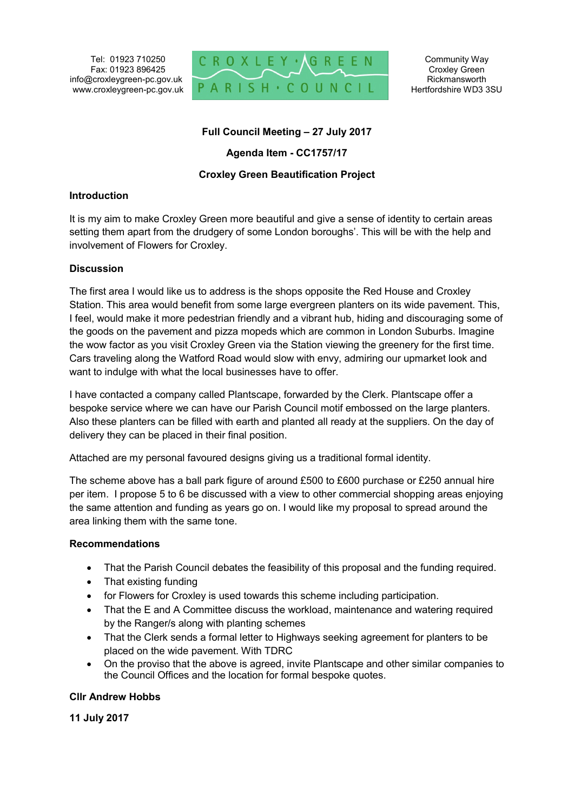Tel: 01923 710250 Fax: 01923 896425 info@croxleygreen-pc.gov.uk www.croxleygreen-pc.gov.uk



Community Way Croxley Green Rickmansworth Hertfordshire WD3 3SU

## **Full Council Meeting – 27 July 2017**

## **Agenda Item - CC1757/17**

## **Croxley Green Beautification Project**

## **Introduction**

It is my aim to make Croxley Green more beautiful and give a sense of identity to certain areas setting them apart from the drudgery of some London boroughs'. This will be with the help and involvement of Flowers for Croxley.

## **Discussion**

The first area I would like us to address is the shops opposite the Red House and Croxley Station. This area would benefit from some large evergreen planters on its wide pavement. This, I feel, would make it more pedestrian friendly and a vibrant hub, hiding and discouraging some of the goods on the pavement and pizza mopeds which are common in London Suburbs. Imagine the wow factor as you visit Croxley Green via the Station viewing the greenery for the first time. Cars traveling along the Watford Road would slow with envy, admiring our upmarket look and want to indulge with what the local businesses have to offer.

I have contacted a company called Plantscape, forwarded by the Clerk. Plantscape offer a bespoke service where we can have our Parish Council motif embossed on the large planters. Also these planters can be filled with earth and planted all ready at the suppliers. On the day of delivery they can be placed in their final position.

Attached are my personal favoured designs giving us a traditional formal identity.

The scheme above has a ball park figure of around £500 to £600 purchase or £250 annual hire per item. I propose 5 to 6 be discussed with a view to other commercial shopping areas enjoying the same attention and funding as years go on. I would like my proposal to spread around the area linking them with the same tone.

## **Recommendations**

- That the Parish Council debates the feasibility of this proposal and the funding required.
- That existing funding
- for Flowers for Croxley is used towards this scheme including participation.
- That the E and A Committee discuss the workload, maintenance and watering required by the Ranger/s along with planting schemes
- That the Clerk sends a formal letter to Highways seeking agreement for planters to be placed on the wide pavement. With TDRC
- On the proviso that the above is agreed, invite Plantscape and other similar companies to the Council Offices and the location for formal bespoke quotes.

## **Cllr Andrew Hobbs**

**11 July 2017**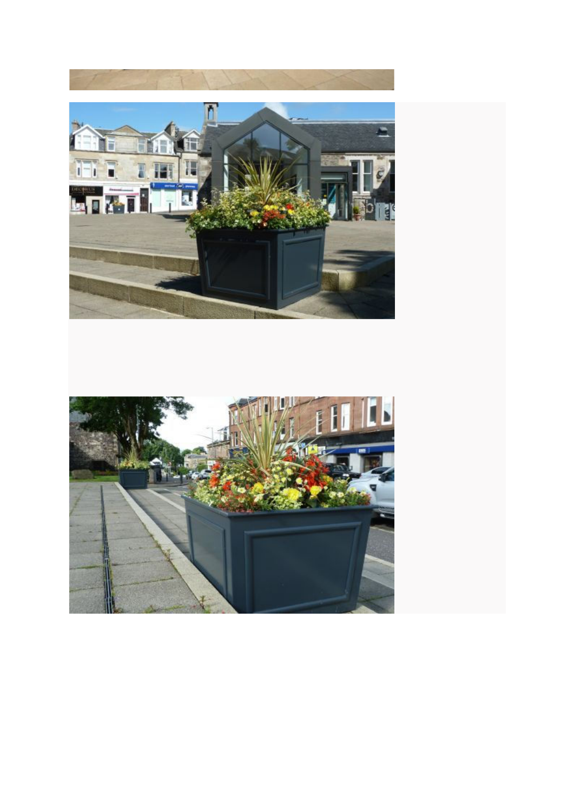

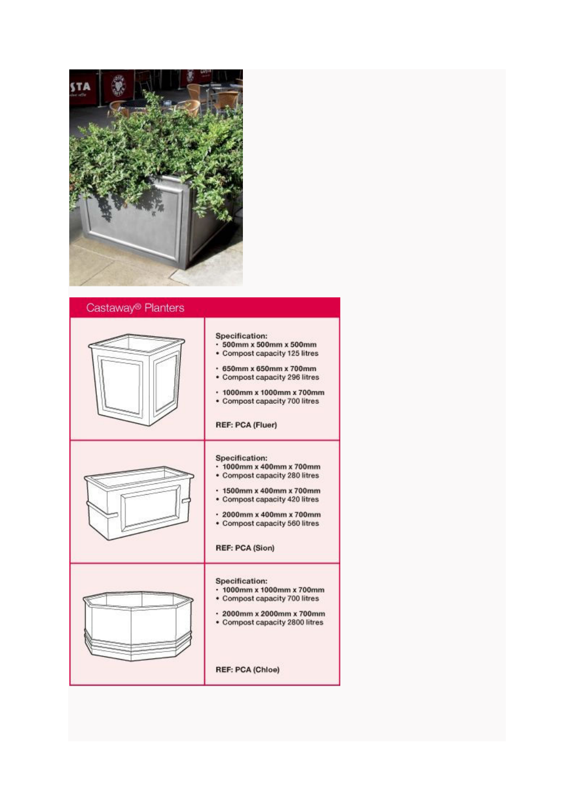

# Castaway<sup>®</sup> Planters Specification: - 500mm x 500mm x 500mm<br>- 600mm x 500mm x 500mm<br>- Compost capacity 125 litres + 650mm x 650mm x 700mm<br>◆ Compost capacity 296 litres • 1000mm x 1000mm x 700mm • Compost capacity 700 litres **REF: PCA (Fluer)** Specification: ● 1000mm x 400mm x 700mm • Compost capacity 280 litres ● 1500mm x 400mm x 700mm<br>● Compost capacity 420 litres ● 2000mm x 400mm x 700mm<br>● Compost capacity 560 litres **REF: PCA (Sion) Specification:** - 1000mm x 1000mm x 700mm<br>- Compost capacity 700 litres ● 2000mm x 2000mm x 700mm<br>● Compost capacity 2800 litres **REF: PCA (Chloe)**